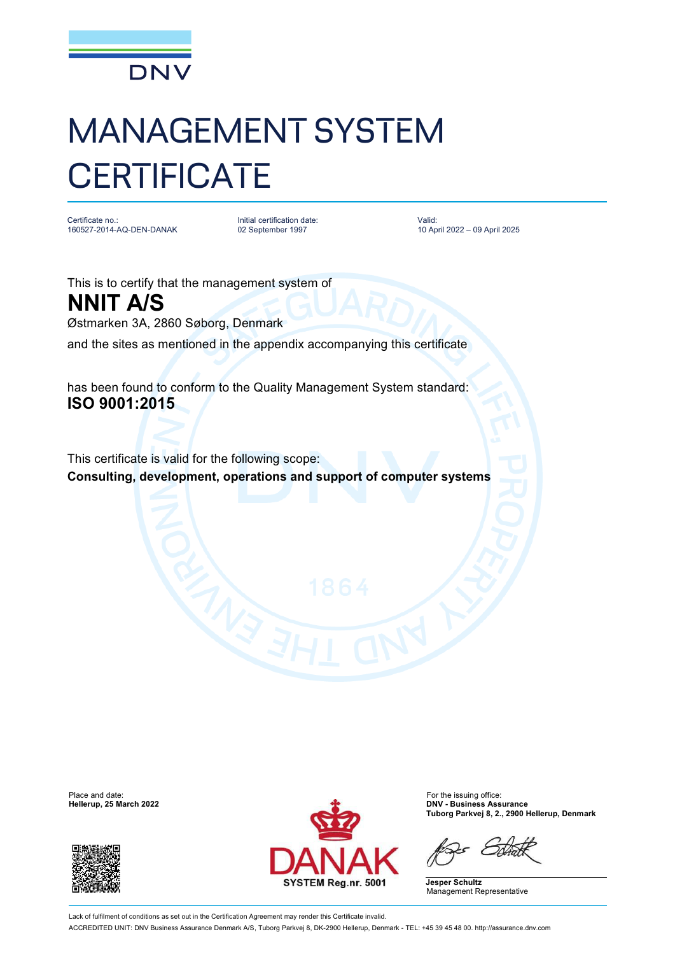

## MANAGEMENT SYSTEM **CERTIFICATE**

Certificate no.: 160527-2014-AQ-DEN-DANAK

Initial certification date: 02 September 1997

Valid: 10 April 2022 – 09 April 2025

This is to certify that the management system of **NNIT A/S** Østmarken 3A, 2860 Søborg, Denmark and the sites as mentioned in the appendix accompanying this certificate

has been found to conform to the Quality Management System standard: **ISO 9001:2015**

This certificate is valid for the following scope: **Consulting, development, operations and support of computer systems**





**Hellerup, 25 March 2022 DNV - Business Assurance Tuborg Parkvej 8, 2., 2900 Hellerup, Denmark**

**Jesper Schultz** Management Representative

Lack of fulfilment of conditions as set out in the Certification Agreement may render this Certificate invalid. ACCREDITED UNIT: DNV Business Assurance Denmark A/S, Tuborg Parkvej 8, DK-2900 Hellerup, Denmark - TEL: +45 39 45 48 00. <http://assurance.dnv.com>